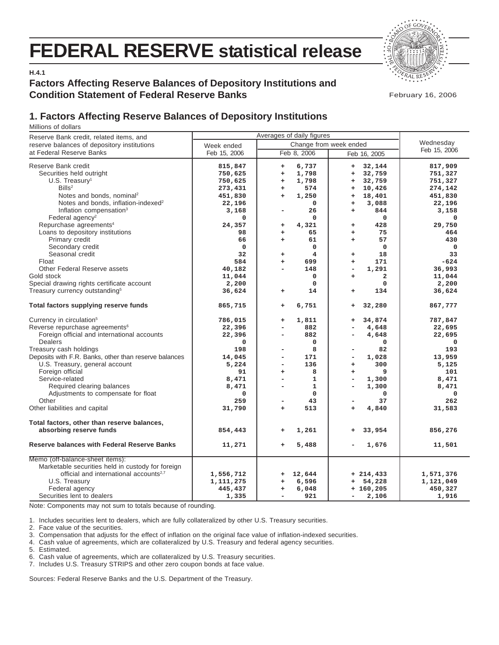# **FEDERAL RESERVE statistical release**



**H.4.1**

# **Factors Affecting Reserve Balances of Depository Institutions and Condition Statement of Federal Reserve Banks**

February 16, 2006

# **1. Factors Affecting Reserve Balances of Depository Institutions**

Millions of dollars

| Reserve Bank credit, related items, and               | Averages of daily figures |                     |                                        |              |
|-------------------------------------------------------|---------------------------|---------------------|----------------------------------------|--------------|
| reserve balances of depository institutions           | Week ended                | Wednesday           |                                        |              |
| at Federal Reserve Banks                              | Feb 15, 2006              | Feb 8, 2006         | Change from week ended<br>Feb 16, 2005 | Feb 15, 2006 |
| Reserve Bank credit                                   | 815,847                   | 6,737<br>$\ddot{}$  | 32,144<br>$\ddot{}$                    | 817,909      |
| Securities held outright                              | 750,625                   | 1,798<br>$\ddot{}$  | 32,759<br>$\ddot{}$                    | 751,327      |
| $U.S.$ Treasury <sup>1</sup>                          | 750,625                   | 1,798<br>÷          | 32,759<br>$\ddot{}$                    | 751,327      |
| Bills <sup>2</sup>                                    | 273,431                   | 574<br>÷            | 10,426<br>$\ddot{}$                    | 274,142      |
| Notes and bonds, nominal <sup>2</sup>                 | 451,830                   | 1,250<br>$\ddot{}$  | 18,401<br>$\ddot{}$                    | 451,830      |
| Notes and bonds, inflation-indexed <sup>2</sup>       | 22,196                    | $\mathbf 0$         | 3,088<br>$\ddot{}$                     | 22,196       |
| Inflation compensation <sup>3</sup>                   | 3,168                     | 26<br>÷             | 844<br>$\ddot{}$                       | 3,158        |
| Federal agency <sup>2</sup>                           | 0                         | $\Omega$            | $\Omega$                               | 0            |
| Repurchase agreements <sup>4</sup>                    | 24,357                    | 4,321<br>+          | 428<br>+                               | 29,750       |
| Loans to depository institutions                      | 98                        | 65<br>÷             | 75<br>$\ddot{}$                        | 464          |
| Primary credit                                        | 66                        | 61<br>$\ddot{}$     | 57<br>$\ddot{}$                        | 430          |
| Secondary credit                                      | $\mathbf 0$               | $\mathbf 0$         | $\mathbf 0$                            | $\mathbf 0$  |
| Seasonal credit                                       | 32                        | 4<br>$\ddot{}$      | 18<br>$\ddot{}$                        | 33           |
| Float                                                 | 584                       | 699<br>$\ddot{}$    | 171<br>$\ddot{}$                       | $-624$       |
| Other Federal Reserve assets                          | 40,182                    | 148                 | 1,291<br>$\overline{\phantom{a}}$      | 36,993       |
| Gold stock                                            | 11,044                    | 0                   | $\overline{\mathbf{2}}$<br>$\ddot{}$   | 11,044       |
| Special drawing rights certificate account            | 2,200                     | $\mathbf 0$         | $\mathbf 0$                            | 2,200        |
| Treasury currency outstanding <sup>5</sup>            | 36,624                    | 14<br>$\ddot{}$     | 134<br>$\ddot{}$                       | 36,624       |
| Total factors supplying reserve funds                 | 865,715                   | 6,751<br>$\ddot{}$  | 32,280<br>$\ddot{}$                    | 867,777      |
| Currency in circulation <sup>5</sup>                  | 786,015                   | 1,811<br>+          | 34,874<br>+                            | 787,847      |
| Reverse repurchase agreements <sup>6</sup>            | 22,396                    | 882<br>۰            | 4,648                                  | 22,695       |
| Foreign official and international accounts           | 22,396                    | 882<br>÷,           | 4,648                                  | 22,695       |
| <b>Dealers</b>                                        | 0                         | 0                   | 0                                      | 0            |
| Treasury cash holdings                                | 198                       | 8<br>۰              | 82                                     | 193          |
| Deposits with F.R. Banks, other than reserve balances | 14,045                    | 171<br>L,           | 1,028<br>$\overline{\phantom{a}}$      | 13,959       |
| U.S. Treasury, general account                        | 5,224                     | 136<br>÷,           | 300<br>$\ddot{}$                       | 5,125        |
| Foreign official                                      | 91                        | 8<br>÷              | 9<br>$\ddot{}$                         | 101          |
| Service-related                                       | 8,471                     | $\mathbf 1$<br>÷,   | 1,300<br>$\overline{\phantom{a}}$      | 8,471        |
| Required clearing balances                            | 8,471                     | $\mathbf 1$<br>÷,   | 1,300                                  | 8,471        |
| Adjustments to compensate for float                   | 0                         | $\mathbf 0$         | 0                                      | 0            |
| Other                                                 | 259                       | 43<br>Ξ.            | 37                                     | 262          |
| Other liabilities and capital                         | 31,790                    | 513<br>$\ddot{}$    | 4,840<br>$\ddot{}$                     | 31,583       |
| Total factors, other than reserve balances,           |                           |                     |                                        |              |
| absorbing reserve funds                               | 854,443                   | 1,261<br>$\ddot{}$  | 33,954<br>÷                            | 856,276      |
| <b>Reserve balances with Federal Reserve Banks</b>    | 11,271                    | 5,488<br>$\ddot{}$  | 1,676                                  | 11,501       |
| Memo (off-balance-sheet items):                       |                           |                     |                                        |              |
| Marketable securities held in custody for foreign     |                           |                     |                                        |              |
| official and international accounts <sup>2,7</sup>    | 1,556,712                 | 12,644<br>$\ddot{}$ | $+ 214, 433$                           | 1,571,376    |
| U.S. Treasury                                         | 1,111,275                 | 6,596<br>+          | 54,228<br>+                            | 1,121,049    |
| Federal agency                                        | 445,437                   | 6,048<br>÷          | $+160,205$                             | 450,327      |
| Securities lent to dealers                            | 1,335                     | 921                 | 2,106                                  | 1,916        |

Note: Components may not sum to totals because of rounding.

1. Includes securities lent to dealers, which are fully collateralized by other U.S. Treasury securities.

2. Face value of the securities.

3. Compensation that adjusts for the effect of inflation on the original face value of inflation-indexed securities.

4. Cash value of agreements, which are collateralized by U.S. Treasury and federal agency securities.

5. Estimated.

6. Cash value of agreements, which are collateralized by U.S. Treasury securities.

7. Includes U.S. Treasury STRIPS and other zero coupon bonds at face value.

Sources: Federal Reserve Banks and the U.S. Department of the Treasury.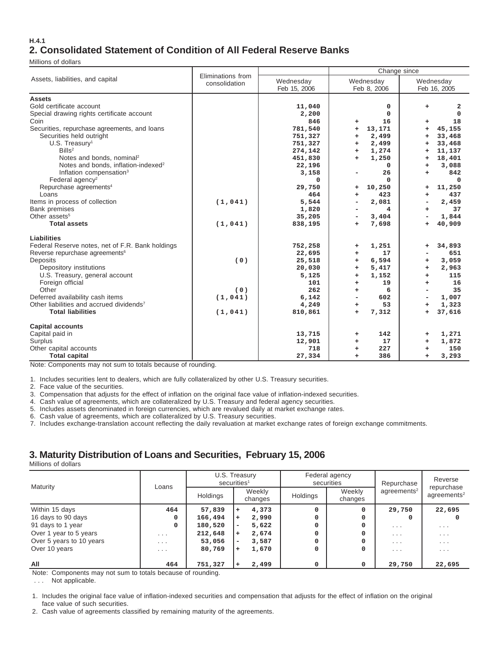#### **H.4.1 2. Consolidated Statement of Condition of All Federal Reserve Banks**

Millions of dollars

|                                                                                                                                                                                                            |                                    |                                                       | Change since                                                                 |                                                                                 |  |  |  |  |
|------------------------------------------------------------------------------------------------------------------------------------------------------------------------------------------------------------|------------------------------------|-------------------------------------------------------|------------------------------------------------------------------------------|---------------------------------------------------------------------------------|--|--|--|--|
| Assets, liabilities, and capital                                                                                                                                                                           | Eliminations from<br>consolidation | Wednesday<br>Feb 15, 2006                             | Wednesday<br>Feb 8, 2006                                                     | Wednesday<br>Feb 16, 2005                                                       |  |  |  |  |
| <b>Assets</b><br>Gold certificate account<br>Special drawing rights certificate account<br>Coin                                                                                                            |                                    | 11,040<br>2,200<br>846                                | 0<br>$\mathbf 0$<br>16<br>÷                                                  | 2<br>÷<br>$\Omega$<br>18<br>÷                                                   |  |  |  |  |
| Securities, repurchase agreements, and loans<br>Securities held outright<br>$U.S.$ Treasury <sup>1</sup><br>Bills <sup>2</sup><br>Notes and bonds, nominal <sup>2</sup>                                    |                                    | 781,540<br>751,327<br>751,327<br>274,142<br>451,830   | 13,171<br>÷<br>2,499<br>÷.<br>2,499<br>÷.<br>1,274<br>÷<br>1,250<br>÷.       | 45,155<br>+<br>33,468<br>$\ddot{}$<br>33,468<br>÷<br>11,137<br>÷<br>18,401<br>÷ |  |  |  |  |
| Notes and bonds, inflation-indexed <sup>2</sup><br>Inflation compensation <sup>3</sup><br>Federal agency <sup>2</sup><br>Repurchase agreements <sup>4</sup><br>Loans                                       |                                    | 22,196<br>3,158<br>0<br>29,750<br>464                 | $\mathbf{0}$<br>26<br>$\Omega$<br>10,250<br>÷<br>423<br>÷                    | 3,088<br>÷<br>842<br>÷<br>$\Omega$<br>11,250<br>÷<br>437<br>÷                   |  |  |  |  |
| Items in process of collection<br><b>Bank premises</b><br>Other assets <sup>5</sup><br><b>Total assets</b>                                                                                                 | (1, 041)<br>(1, 041)               | 5,544<br>1,820<br>35,205<br>838,195                   | 2,081<br>۰<br>4<br>3,404<br>7,698<br>÷                                       | 2,459<br>۰<br>37<br>÷<br>1,844<br>40,909<br>÷                                   |  |  |  |  |
| Liabilities<br>Federal Reserve notes, net of F.R. Bank holdings<br>Reverse repurchase agreements <sup>6</sup><br>Deposits<br>Depository institutions<br>U.S. Treasury, general account<br>Foreign official | (0)                                | 752,258<br>22,695<br>25,518<br>20,030<br>5,125<br>101 | 1,251<br>÷<br>17<br>÷.<br>6,594<br>÷.<br>5,417<br>+<br>1,152<br>÷<br>19<br>÷ | 34,893<br>÷<br>651<br>3,059<br>÷<br>2,963<br>+<br>115<br>÷<br>16<br>÷           |  |  |  |  |
| Other<br>Deferred availability cash items<br>Other liabilities and accrued dividends <sup>7</sup><br><b>Total liabilities</b>                                                                              | (0)<br>(1, 041)<br>(1, 041)        | 262<br>6,142<br>4,249<br>810,861                      | 6<br>÷<br>602<br>53<br>÷.<br>7,312<br>$\ddot{}$                              | 35<br>1,007<br>1,323<br>$\ddot{}$<br>37,616<br>÷                                |  |  |  |  |
| <b>Capital accounts</b><br>Capital paid in<br>Surplus<br>Other capital accounts<br><b>Total capital</b>                                                                                                    |                                    | 13,715<br>12,901<br>718<br>27,334                     | 142<br>+<br>17<br>÷.<br>227<br>÷<br>386<br>÷                                 | 1,271<br>÷<br>1,872<br>÷<br>150<br>3,293<br>$\ddot{}$                           |  |  |  |  |

Note: Components may not sum to totals because of rounding.

1. Includes securities lent to dealers, which are fully collateralized by other U.S. Treasury securities.

2. Face value of the securities.

3. Compensation that adjusts for the effect of inflation on the original face value of inflation-indexed securities.

4. Cash value of agreements, which are collateralized by U.S. Treasury and federal agency securities.

5. Includes assets denominated in foreign currencies, which are revalued daily at market exchange rates.

6. Cash value of agreements, which are collateralized by U.S. Treasury securities.

7. Includes exchange-translation account reflecting the daily revaluation at market exchange rates of foreign exchange commitments.

## **3. Maturity Distribution of Loans and Securities, February 15, 2006**

Millions of dollars

| Maturity                 |          | U.S. Treasury<br>securities <sup>1</sup> |   |                   |          | Federal agency<br>securities | Repurchase              | Reverse<br>repurchase<br>agreements <sup>2</sup> |  |
|--------------------------|----------|------------------------------------------|---|-------------------|----------|------------------------------|-------------------------|--------------------------------------------------|--|
|                          | Loans    | Holdings                                 |   | Weekly<br>changes | Holdings | Weekly<br>changes            | agreements <sup>2</sup> |                                                  |  |
| Within 15 days           | 464      | 57,839                                   | ÷ | 4,373             |          | <sup>0</sup>                 | 29,750                  | 22,695                                           |  |
| 16 days to 90 days       | 0        | 166,494                                  |   | 2,990             |          |                              |                         |                                                  |  |
| 91 days to 1 year        | 0        | 180,520                                  | ۰ | 5,622             |          |                              | $\cdot$ $\cdot$ $\cdot$ | $\cdot$ $\cdot$ $\cdot$                          |  |
| Over 1 year to 5 years   | $\cdots$ | 212,648                                  | ÷ | 2,674             |          |                              | $\cdots$                | $\cdots$                                         |  |
| Over 5 years to 10 years | .        | 53,056                                   | ۰ | 3,587             |          |                              | $\cdot$ $\cdot$ $\cdot$ | $\cdot$ $\cdot$ $\cdot$                          |  |
| Over 10 years            | .        | 80,769                                   | ÷ | 1,670             |          |                              | $\cdot$ $\cdot$ $\cdot$ | $\cdot$ $\cdot$ $\cdot$                          |  |
| All                      | 464      | 751,327                                  |   | 2,499             |          |                              | 29,750                  | 22,695                                           |  |

Note: Components may not sum to totals because of rounding.

. . . Not applicable.

1. Includes the original face value of inflation-indexed securities and compensation that adjusts for the effect of inflation on the original face value of such securities.

2. Cash value of agreements classified by remaining maturity of the agreements.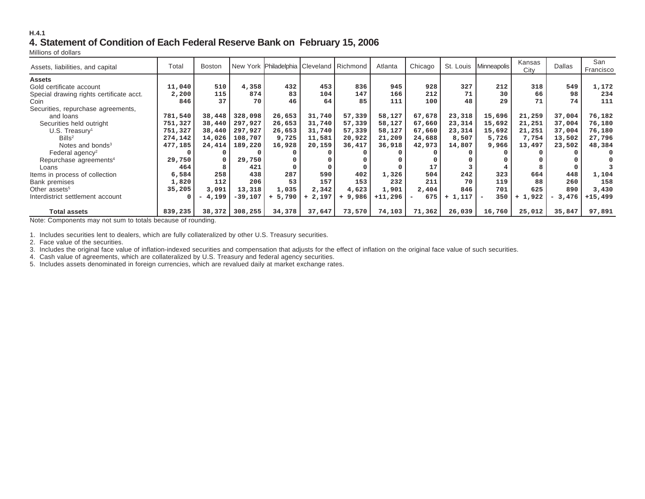#### **H.4.14. Statement of Condition of Each Federal Reserve Bank on February 15, 2006**

Millions of dollars

| Assets, liabilities, and capital         | Total   | <b>Boston</b> |           | New York Philadelphia Cleveland   Richmond |          |          | Atlanta   | Chicago |          | St. Louis   Minneapolis | Kansas<br>City | <b>Dallas</b> | San<br>Francisco |
|------------------------------------------|---------|---------------|-----------|--------------------------------------------|----------|----------|-----------|---------|----------|-------------------------|----------------|---------------|------------------|
| <b>Assets</b>                            |         |               |           |                                            |          |          |           |         |          |                         |                |               |                  |
| Gold certificate account                 | 11,040  | 510           | 4,358     | 432                                        | 453      | 836      | 945       | 928     | 327      | 212                     | 318            | 549           | 1,172            |
| Special drawing rights certificate acct. | 2,200   | 115           | 874       | 83                                         | 104      | 147      | 166       | 212     | 71       | 30                      | 66             | 98            | 234              |
| Coin                                     | 846     | 37            | 70        | 46                                         | 64       | 85       | 111       | 100     | 48       | 29                      | 71             | 74            | 111              |
| Securities, repurchase agreements,       |         |               |           |                                            |          |          |           |         |          |                         |                |               |                  |
| and loans                                | 781,540 | 38,448        | 328,098   | 26,653                                     | 31,740   | 57,339   | 58,127    | 67,678  | 23,318   | 15,696                  | 21,259         | 37,004        | 76,182           |
| Securities held outright                 | 751,327 | 38,440        | 297,927   | 26,653                                     | 31,740   | 57,339   | 58,127    | 67,660  | 23,314   | 15,692                  | 21,251         | 37,004        | 76,180           |
| $U.S.$ Treasury <sup>1</sup>             | 751,327 | 38,440        | 297,927   | 26,653                                     | 31,740   | 57,339   | 58,127    | 67,660  | 23,314   | 15,692                  | 21,251         | 37,004        | 76,180           |
| $B$ ills <sup>2</sup>                    | 274,142 | 14,026        | 108,707   | 9,725                                      | 11,581   | 20,922   | 21,209    | 24,688  | 8,507    | 5,726                   | 7,754          | 13,502        | 27,796           |
| Notes and bonds <sup>3</sup>             | 477,185 | 24,414        | 189,220   | 16,928                                     | 20,159   | 36,417   | 36,918    | 42,973  | 14,807   | 9,966                   | 13,497         | 23,502        | 48,384           |
| Federal agency <sup>2</sup>              |         |               |           |                                            |          |          |           |         |          |                         |                |               | $\Omega$         |
| Repurchase agreements <sup>4</sup>       | 29,750  |               | 29,750    |                                            |          |          |           |         |          |                         |                |               |                  |
| Loans                                    | 464     |               | 421       |                                            |          |          |           | 17      |          |                         |                |               |                  |
| Items in process of collection           | 6,584   | 258           | 438       | 287                                        | 590      | 402      | 1,326     | 504     | 242      | 323                     | 664            | 448           | 1,104            |
| Bank premises                            | 1,820   | 112           | 206       | 53                                         | 157      | 153      | 232       | 211     | 70       | 119                     | 88             | 260           | 158              |
| Other assets <sup>5</sup>                | 35,205  | 3,091         | 13,318    | 1,035                                      | 2,342    | 4,623    | 1,901     | 2,404   | 846      | 701                     | 625            | 890           | 3,430            |
| Interdistrict settlement account         |         | 4,199         | $-39,107$ | $+ 5,790$                                  | $+2,197$ | $+9,986$ | $+11,296$ | 675     | $+1,117$ | 350                     | 1,922          | $-3,476$      | $+15,499$        |
|                                          |         |               |           |                                            |          |          |           |         |          |                         |                |               |                  |
| <b>Total assets</b>                      | 839,235 | 38,372        | 308,255   | 34,378                                     | 37,647   | 73,570   | 74,103    | 71,362  | 26,039   | 16,760                  | 25,012         | 35,847        | 97,891           |

Note: Components may not sum to totals because of rounding.

1. Includes securities lent to dealers, which are fully collateralized by other U.S. Treasury securities.

2. Face value of the securities.

3. Includes the original face value of inflation-indexed securities and compensation that adjusts for the effect of inflation on the original face value of such securities.

4. Cash value of agreements, which are collateralized by U.S. Treasury and federal agency securities.

5. Includes assets denominated in foreign currencies, which are revalued daily at market exchange rates.